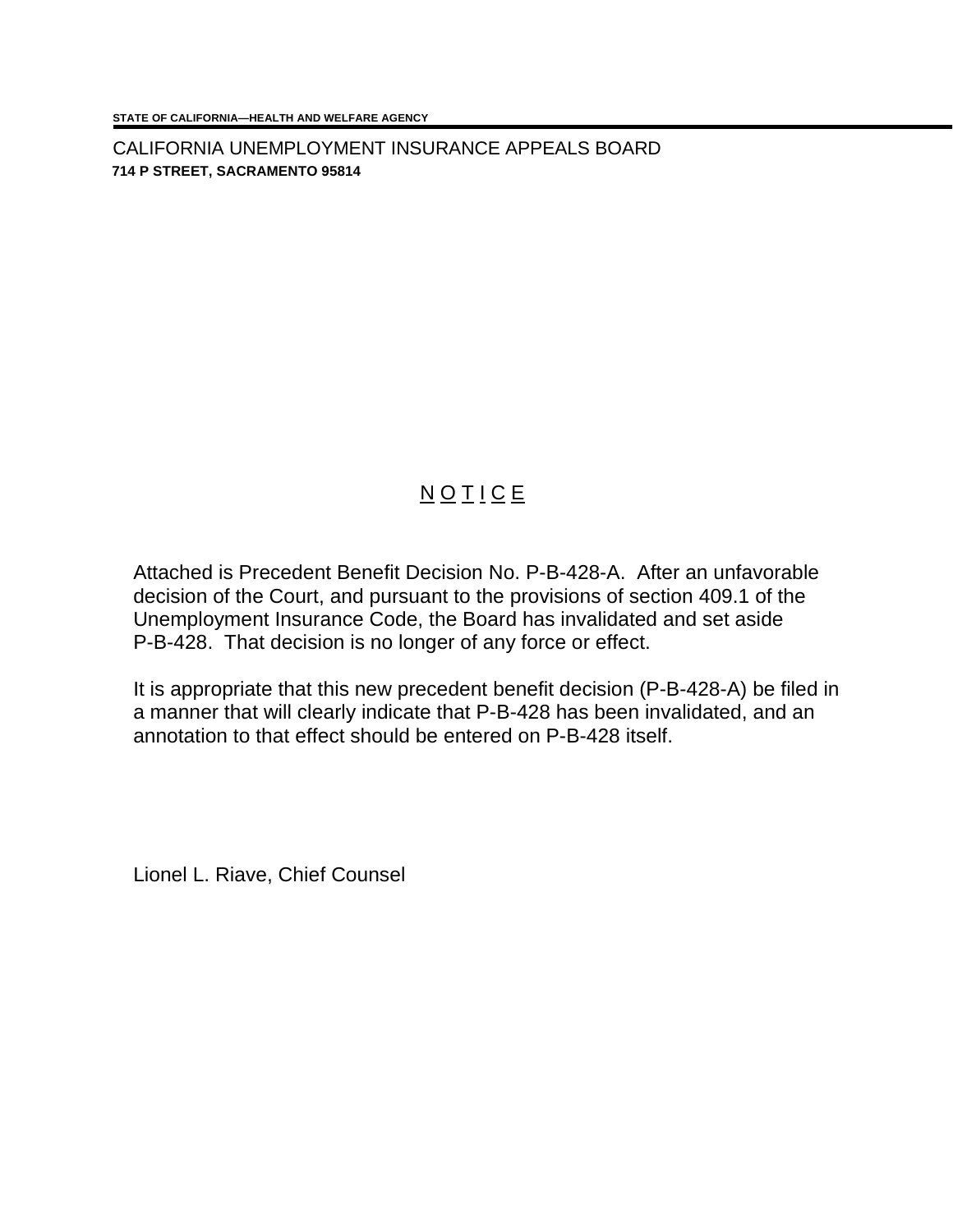CALIFORNIA UNEMPLOYMENT INSURANCE APPEALS BOARD **714 P STREET, SACRAMENTO 95814**

## **NOTICE**

Attached is Precedent Benefit Decision No. P-B-428-A. After an unfavorable decision of the Court, and pursuant to the provisions of section 409.1 of the Unemployment Insurance Code, the Board has invalidated and set aside P-B-428. That decision is no longer of any force or effect.

It is appropriate that this new precedent benefit decision (P-B-428-A) be filed in a manner that will clearly indicate that P-B-428 has been invalidated, and an annotation to that effect should be entered on P-B-428 itself.

Lionel L. Riave, Chief Counsel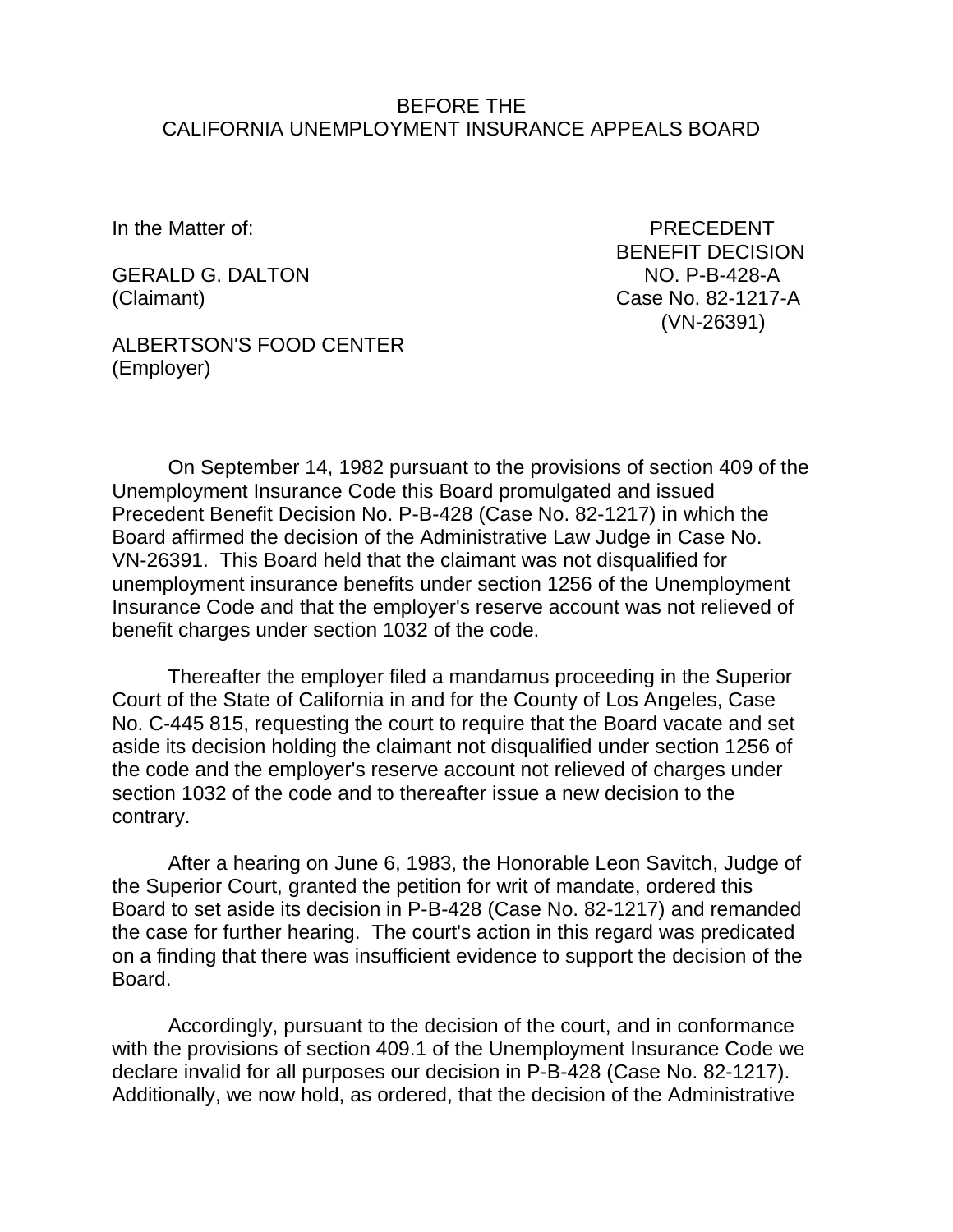## BEFORE THE CALIFORNIA UNEMPLOYMENT INSURANCE APPEALS BOARD

GERALD G. DALTON NO. P-B-428-A (Claimant) Case No. 82-1217-A

In the Matter of: PRECEDENT BENEFIT DECISION (VN-26391)

ALBERTSON'S FOOD CENTER (Employer)

On September 14, 1982 pursuant to the provisions of section 409 of the Unemployment Insurance Code this Board promulgated and issued Precedent Benefit Decision No. P-B-428 (Case No. 82-1217) in which the Board affirmed the decision of the Administrative Law Judge in Case No. VN-26391. This Board held that the claimant was not disqualified for unemployment insurance benefits under section 1256 of the Unemployment Insurance Code and that the employer's reserve account was not relieved of benefit charges under section 1032 of the code.

Thereafter the employer filed a mandamus proceeding in the Superior Court of the State of California in and for the County of Los Angeles, Case No. C-445 815, requesting the court to require that the Board vacate and set aside its decision holding the claimant not disqualified under section 1256 of the code and the employer's reserve account not relieved of charges under section 1032 of the code and to thereafter issue a new decision to the contrary.

After a hearing on June 6, 1983, the Honorable Leon Savitch, Judge of the Superior Court, granted the petition for writ of mandate, ordered this Board to set aside its decision in P-B-428 (Case No. 82-1217) and remanded the case for further hearing. The court's action in this regard was predicated on a finding that there was insufficient evidence to support the decision of the **Board** 

Accordingly, pursuant to the decision of the court, and in conformance with the provisions of section 409.1 of the Unemployment Insurance Code we declare invalid for all purposes our decision in P-B-428 (Case No. 82-1217). Additionally, we now hold, as ordered, that the decision of the Administrative